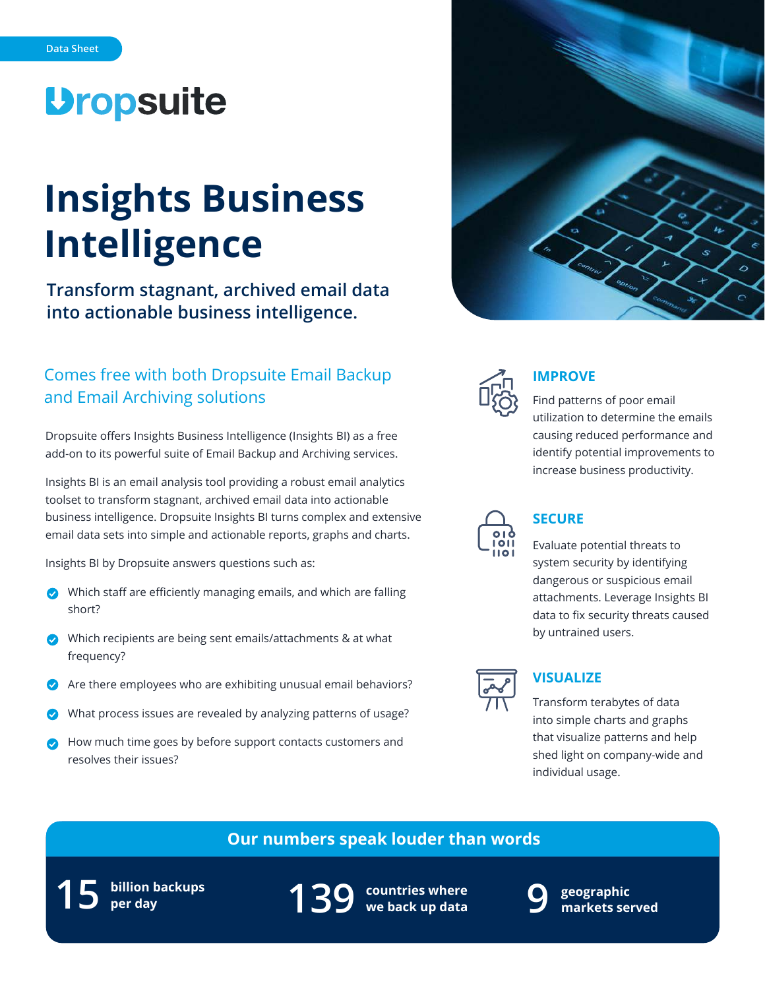# **Dropsuite**

# **Insights Business Intelligence**

**Transform stagnant, archived email data into actionable business intelligence.**

# Comes free with both Dropsuite Email Backup and Email Archiving solutions

Dropsuite offers Insights Business Intelligence (Insights BI) as a free add-on to its powerful suite of Email Backup and Archiving services.

Insights BI is an email analysis tool providing a robust email analytics toolset to transform stagnant, archived email data into actionable business intelligence. Dropsuite Insights BI turns complex and extensive email data sets into simple and actionable reports, graphs and charts.

Insights BI by Dropsuite answers questions such as:

- Which staff are efficiently managing emails, and which are falling short?
- Which recipients are being sent emails/attachments & at what frequency?
- Are there employees who are exhibiting unusual email behaviors?
- What process issues are revealed by analyzing patterns of usage?
- How much time goes by before support contacts customers and resolves their issues?





## **IMPROVE**

Find patterns of poor email utilization to determine the emails causing reduced performance and identify potential improvements to increase business productivity.



# **SECURE**

Evaluate potential threats to system security by identifying dangerous or suspicious email attachments. Leverage Insights BI data to fix security threats caused by untrained users.



## **VISUALIZE**

Transform terabytes of data into simple charts and graphs that visualize patterns and help shed light on company-wide and individual usage.

# **Our numbers speak louder than words**

**billion backups 15 per day**

**countries where 139 we back up data**



**geographic 9 markets served**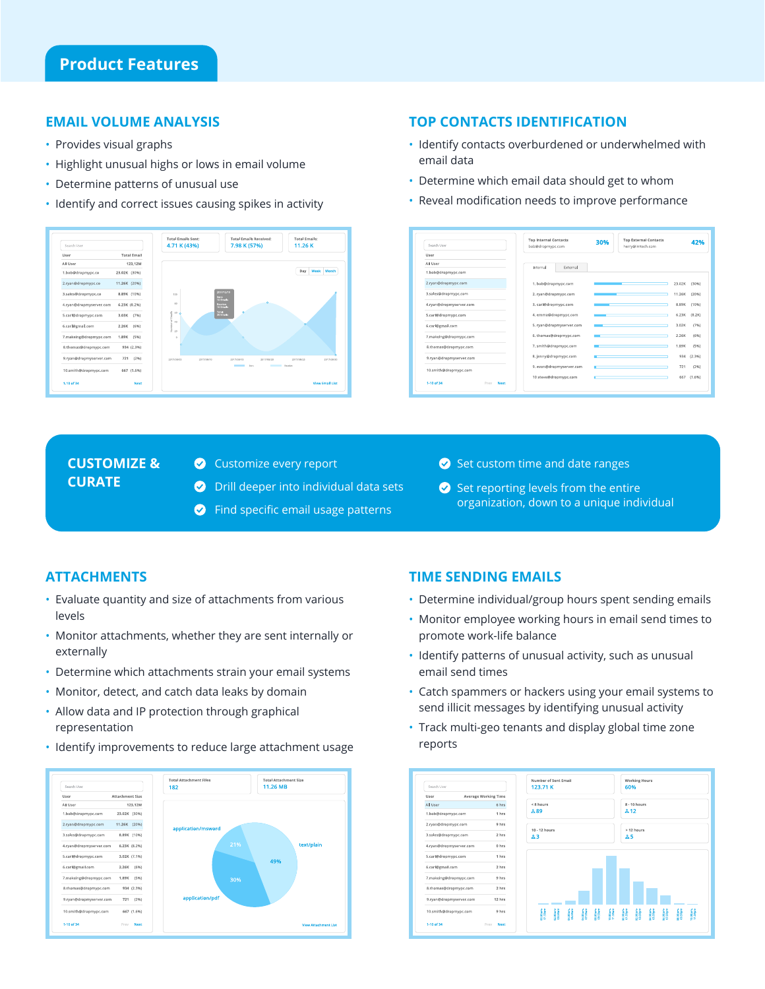#### **EMAIL VOLUME ANALYSIS**

- Provides visual graphs
- Highlight unusual highs or lows in email volume
- Determine patterns of unusual use
- Identify and correct issues causing spikes in activity



### **TOP CONTACTS IDENTIFICATION**

- Identify contacts overburdened or underwhelmed with email data
- Determine which email data should get to whom
- Reveal modification needs to improve performance

| Search User                | <b>Top Internal Contacts</b><br>bob@dropmypc.com | 30% | <b>Top External Contacts</b><br>herry@imtech.com | 42%            |
|----------------------------|--------------------------------------------------|-----|--------------------------------------------------|----------------|
| User                       |                                                  |     |                                                  |                |
| <b>All User</b>            | Internal<br>External                             |     |                                                  |                |
| 1.bob@dropmypc.com         |                                                  |     |                                                  |                |
| 2.ryan@dropmypc.com        | 1. bob@dropmypc.com                              |     | 23.02K                                           | (30%)          |
| 3.sales@dropmypc.com       | 2. ryan@dropmypc.com                             |     | 11.26K                                           | (20%)          |
| 4.ryan@dropmyserver.com    | 3. carl@dropmypc.com                             |     | 8.89K                                            | (1096)         |
| 5.carl@dropmypc.com        | 4. emma@dropmypc.com                             |     | 6.23K                                            | (8.2K)         |
| 6.carl@gmail.com           | 5. ryan@dropmyserver.com                         |     | 3.02K                                            | (7%)           |
| 7.makeing@dropmypc.com     | 6. thomas@dropmypc.com                           |     | 2.26K                                            | (6%)           |
| 8.thomas@dropmypc.com      | 7. smith@dropmypc.com                            |     | 1.89K                                            | (5%)           |
| 9.ryan@dropmyserver.com    | 8. jenny@dropmypc.com                            |     |                                                  | (2.3%)<br>934  |
| 10.smith@dropmypc.com      | 9. evan@dropmyserver.com                         |     |                                                  | 721<br>(296)   |
| 1-10 of 34<br>Prev<br>Next | 10 steve@dropmypc.com                            |     |                                                  | (1.696)<br>667 |

## **CUSTOMIZE & CURATE**

- Customize every report
- **O** Drill deeper into individual data sets
- **C** Find specific email usage patterns
- $\bullet$  Set custom time and date ranges
- $\bullet$  Set reporting levels from the entire organization, down to a unique individual

#### **ATTACHMENTS**

- Evaluate quantity and size of attachments from various levels
- Monitor attachments, whether they are sent internally or externally
- Determine which attachments strain your email systems
- Monitor, detect, and catch data leaks by domain
- Allow data and IP protection through graphical representation
- Identify improvements to reduce large attachment usage



### **TIME SENDING EMAILS**

- Determine individual/group hours spent sending emails
- Monitor employee working hours in email send times to promote work-life balance
- Identify patterns of unusual activity, such as unusual email send times
- Catch spammers or hackers using your email systems to send illicit messages by identifying unusual activity
- Track multi-geo tenants and display global time zone reports